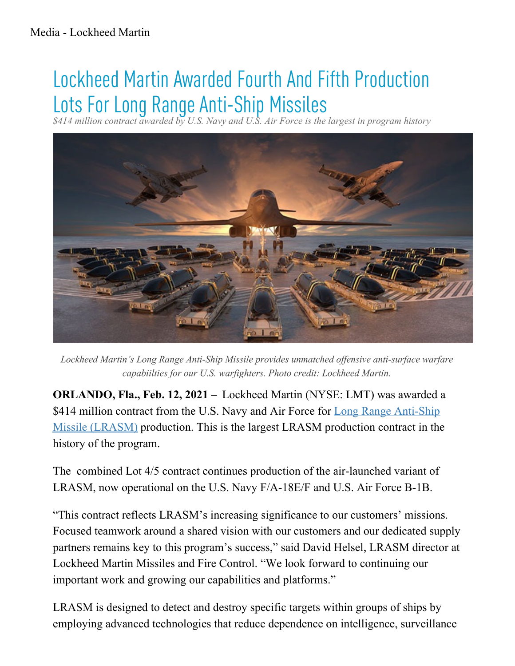## Lockheed Martin Awarded Fourth And Fifth Production Lots For Long Range Anti-Ship Missiles

*\$414 million contract awarded by U.S. Navy and U.S. Air Force is the largest in program history*



Lockheed Martin's Long Range Anti-Ship Missile provides unmatched offensive anti-surface warfare capabiilties for our U.S. warfighters. Photo credit: Lockheed Martin.

**ORLANDO, Fla., Feb. 12, 2021 –** Lockheed Martin (NYSE: LMT) was awarded a \$414 million contract from the U.S. Navy and Air Force for Long Range Anti-Ship Missile (LRASM) [production.](http://lockheedmartin.com/us/products/LRASM.html) This is the largest LRASM production contract in the history of the program.

The combined Lot 4/5 contract continues production of the air-launched variant of LRASM, now operational on the U.S. Navy F/A-18E/F and U.S. Air Force B-1B.

"This contract reflects LRASM's increasing significance to our customers' missions. Focused teamwork around a shared vision with our customers and our dedicated supply partners remains key to this program's success," said David Helsel, LRASM director at Lockheed Martin Missiles and Fire Control. "We look forward to continuing our important work and growing our capabilities and platforms."

LRASM is designed to detect and destroy specific targets within groups of ships by employing advanced technologies that reduce dependence on intelligence, surveillance